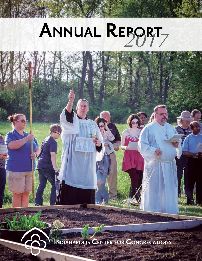# **Annual Report** *2017*

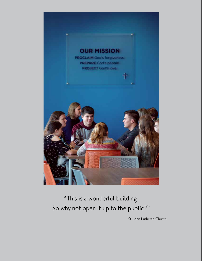

"This is a wonderful building. So why not open it up to the public?"

— St. John Lutheran Church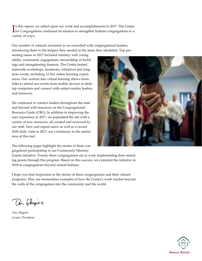In this report, we reflect upon our work and accomplishments in 2017. The Center for Congregations continued its mission to strengthen Indiana congregations in a n this report, we reflect upon our work and accomplishments in 2017. The Center variety of ways.

Our number of contacts increased as we consulted with congregational leaders, introducing them to the helpers they needed in the areas they identified. Top pre-

senting issues in 2017 included ministry with young adults, community engagement, stewardship of buildings and strengthening finances. The Center hosted statewide workshops, luncheons, initiatives and longterm events, including 12 live online learning experiences. Our venture into virtual learning allows more folks to attend our events from mobile devices or desktop computers and connect with subject-matter leaders and resources.

We continued to connect leaders throughout the state and beyond with resources on the Congregational Resource Guide (CRG). In addition to improving the user experience in 2017, we populated the site with a variety of new resources, all curated and reviewed by our staff. New and repeat users, as well as a record 2650 daily visits in 2017, are a testimony to the usefulness of this tool.



The following pages highlight the stories of three congregations participating in our Community Ministry

Grants initiative. Twenty-three congregations are at work implementing their matching grants through this program. Based on this success, we extended the initiative in 2018 to congregations beyond central Indiana.

I hope you find inspiration in the stories of these congregations and their vibrant programs. They are tremendous examples of how the Center's work reaches beyond the walls of the congregation into the community and the world.

Din Shapero

*Tim Shapiro Center President*

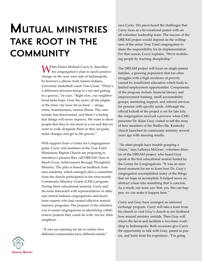## **Mutual ministries take root in the community**

Mhen Pastor Richard Curry Jr. describes his congregation's plan to spark positive change on the near west side of Indianapolis, he borrows a phrase from former Indiana University basketball coach Tom Crean. "There's a difference between being in a rut and getting in a groove," he says. "Right now, our neighborhood lacks hope. Over the years, all the plights of the inner city have hit us hard — drugs, crime, homelessness, mental illness. The community has deteriorated, and there's a feeling that things will never improve. We want to show people that they're not stuck in a rut and that we want to walk alongside them as they set goals, make changes and get in the groove."

With support from a Center for Congregations grant, Curry and members of the True Tried Missionary Baptist Church are preparing to introduce a process they call DREAM: Dare to Reach Every Achievement through Thoughtful Ministry. The plan is based on feedback from area residents, which emerged after a committee from the church participated in the nine-month Community Ministry Grants (CMG) program. During three educational sessions, Curry and his team interacted with representatives of other east central Indiana congregations and heard from experts who had created effective mutual ministry programs. The purpose of the initiative was to assist congregations in identifying collaborative projects they could do with, not for, their neighbors.

 "It was eye-opening for me to realize how different communities have different needs," says Curry. His peers heard the challenges that Curry faces as a bi-vocational pastor with an all-volunteer leadership team. The success of the DREAM project would depend on the willingness of the entire True Tried congregation to share the responsibility for its implementation. For that reason, Curry explains, "We're mobilizing people by teaching discipleship."

The DREAM project will focus on single-parent families, a growing population that too often struggles with a high incidence of poverty caused by insufficient education which leads to limited employment opportunities. Components of the program include financial literacy and empowerment training, small accountability groups, mentoring support, and referral services for persons with specific needs. Although the official kickoff of the project is set for late July, the congregation received a preview when CMG presenter Dr. Kilen Gray visited to tell the story of how members of his Shelbyville, Kentucky church launched its community ministry several years ago with amazing results.

 "So often people have trouble grasping a vision," says LaSonya McGraw, volunteer director of the DREAM project, who heard Gray speak at the first educational session hosted by the Center for Congregations. "It was an emotional moment for me to learn how Dr. Gray's congregation accomplished many of the things that we hope to accomplish. It helped move an abstract vision into something that is concrete. As a result, our team saw that, yes, this can happen; we can make it happen here."

Curry and Gray have arranged an informal exchange program. Curry will take a team from his church to visit Gray's church to see firsthand how mutual ministry unfolds. Then Gray will return the favor and facilitate a two-hour workshop in Indianapolis. Both occasions give Curry the opportunity to talk with Gray, pastor to pastor, and learn from his experience. "I'm going

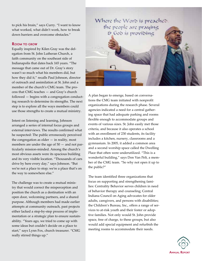to pick his brain," says Curry. "I want to know what worked, what didn't work, how to break down barriers and overcome obstacles."

#### **Room to grow**

Equally inspired by Kilen Gray was the delegation from St. John Lutheran Church, a faith community on the southeast side of Indianapolis that dates back 165 years. "The message that came out of Dr. Gray's story wasn't so much what his members did, but how they did it," recalls Paul Johnson, director of outreach and assimilation at St. John and a member of the church's CMG team. The process that CMG teaches — and Gray's church followed — begins with a congregation conducting research to determine its strengths. The next step is to explore all the ways members could use those strengths to create a mutual ministry.

Intent on listening and learning, Johnson arranged a series of internal focus groups and external interviews. The results confirmed what he suspected: The public erroneously perceived the congregation as older  $-$  in reality, most members are under the age of 50 — and not particularly mission-minded. Among the church's most obvious assets were its spacious building and its very visible location. "Thousands of cars drive by here every day," says Johnson. "But we're not a place to stop; we're a place that's on the way to somewhere else."

The challenge was to create a mutual ministry that would correct the misperception and position the church as a destination with an open door, welcoming partners, and a shared purpose. Although members had made earlier attempts at community outreach, past projects either lacked a step-by-step process of implementation or a strategic plan to ensure sustainability. "Years ago, we tried to come up with some ideas but couldn't decide on a place to start," says Lynn Fox, church treasurer. "CMG really stirred things up."



A plan began to emerge, based on conversations the CMG team initiated with nonprofit organizations during the research phase. Several agencies indicated a need for a central gathering space that had adequate parking and rooms flexible enough to accommodate groups and events of various sizes. St. John easily met those criteria, and because it also operates a school with an enrollment of 230 students, its facility includes a kitchen, nursery, classrooms and a gymnasium. In 2005, it added a common area and a second worship space called the Dwelling Place that often were underutilized. "This is a wonderful building," says Don Van Pelt, a member of the CMG team. "So why not open it up to the public?"

The team identified three organizations that focus on supporting and strengthening families: Centrality Behavior serves children in need of behavior therapy and counseling; Central Indiana Council on Aging advocates for older adults, caregivers, and persons with disabilities; the Children's Bureau, Inc., offers a range of services to at-risk youth and their foster or adoptive families. Not only would St. John provide space, free of charge, to these groups, but also would add special equipment and refurbish the meeting rooms to accommodate their needs.

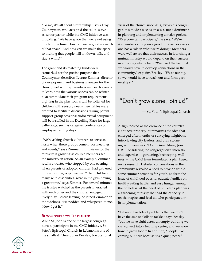"To me, it's all about stewardship," says Troy Countryman, who accepted the call to serve as senior pastor while the CMG initiative was unfolding. "We have space that we're not using much of the time. How can we be good stewards of that space? And how can we make the space so inviting that people will sit down, talk, and stay a while?"

The grant and its matching funds were earmarked for the precise purpose that Countryman describes. Ivonne Zimmer, director of development and business manager for the church, met with representatives of each agency to learn how the various spaces can be refitted to accommodate their program requirements. Lighting in the play rooms will be softened for children with sensory needs; new tables were ordered to facilitate discussions during parent support-group sessions; audio-visual equipment will be installed in the Dwelling Place for large gatherings, such as caregiver conferences or employee training days.

"We're asking church volunteers to serve as hosts when these groups come in for meetings and events," says Zimmer. Enthusiasm for the ministry is growing as church members see the ministry in action. As an example, Zimmer recalls a trustee who stopped by one evening when parents of adopted children had gathered for a support-group meeting. "Their children, many with disabilities, were in the gym having a great time," says Zimmer. For several minutes the trustee watched as the parents interacted with each other and the children engaged in lively play. Before leaving, he joined Zimmer on the sidelines. "He nodded and whispered to me, 'Now I get it.'"

#### **Bloom where you're planted**

While St. John is one of the largest congregations to participate in the CMG initiative, St. Peter's Episcopal Church in Lebanon is one of the smallest. Christopher Beasley, bi-vocational vicar of the church since 2014, views his congregation's modest size as an asset, not a detriment, in planning and implementing a major project. "Everyone can participate," he says. "We're 40-members strong on a good Sunday, so everyone has a role in what we're doing." Members were well aware that their success in launching a mutual ministry would depend on their success in enlisting outside help. "We liked the fact that we would have to develop connections in the community," explains Beasley. "We're not big, so we would have to reach out and form partnerships."

## "Don't grow alone, join us!"

— St. Peter's Episcopal Church

A sign, posted at the entrance of the church's eight-acre property, summarizes the idea that emerged after months of surveying neighbors, interviewing city leaders, and brainstorming with members: "Don't Grow Alone, Join Us!" Considering the congregation's interests and expertise — gardening, beekeeping, wellness — the CMG team formulated a plan based on its research. Detailed conversations in the community revealed a need to provide wholesome summer activities for youth, address the issue of childhood obesity, educate families on healthy eating habits, and ease hunger among the homeless. At the heart of St. Peter's plan was a gardening ministry that had the capacity to teach, inspire, and feed all who participated in its implementation.

"Lebanon has lots of problems that we don't have the size or skills to tackle," says Beasley, "but we have eight acres, an empty building we can convert into a learning center, and we know how to grow food." In addition, "people like coming out here because it's a quiet, peaceful

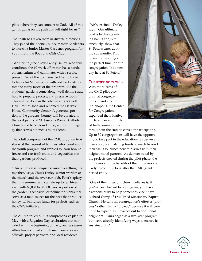place where they can connect to God. All of this got us going on the path that felt right for us."

That path has taken them in diverse directions. They joined the Boone County Master Gardeners to launch a Junior Master Gardener program for youth from the Boys and Girls Club.

"We start in June," says Sandy Dailey, who will coordinate the 10-week effort that has a handson curriculum and culminates with a service project. Part of the grant enabled her to travel to Texas A&M to explore with certified instructors the many facets of the program. "As the students' gardens come along, we'll demonstrate how to prepare, process, and preserve foods." This will be done in the kitchen at Blackwell Hall—refurbished and renamed the Harvest House Community Center. A generous portion of the gardens' bounty will be donated to the food pantry at St. Joseph's Roman Catholic Church and to Shalom House, a non-profit agency that serves hot meals to its clients.

The adult component of the CMG program took shape at the request of families who heard about the youth program and wanted to learn how to freeze and can fresh fruits and vegetables that their gardens produced.

"Our situation is unique because everything fits together," says Chuck Dailey, senior warden at the church and the overseer of St. Peter's apiary that this summer will contain up to ten hives, each with 60,000 to 80,000 bees. A portion of the garden is set aside for pollinator plants that serve as a food source for the bees that produce honey, which raises funds for projects such as the CMG initiative.

The church rolled out its comprehensive plan in May with a Rogation Day celebration that coincided with the beginning of the growing season. Attendees included church members, diocese officials, project partners, and local residents.

"We're excited," Dailey says. "Our ultimate goal is to change eating habits and, simultaneously, show that St. Peter's cares about the community. This project came along at the perfect time for our congregation. It's a new day here at St. Pete's."

#### **The work goes on…**

With the success of the CMG pilot program at congregations in and around Indianapolis, the Center for Congregations expanded the initiative in December and invited faith communities



throughout the state to consider participating. Up to 30 congregations will have the opportunity to take part in the educational program and then apply for matching funds to reach beyond their walls to launch new ministries with their neighborhood partners. As demonstrated by the projects created during the pilot phase, the ministries and the benefits of the ministries are likely to continue long after the CMG grant period ends.

"One of the things our church believes is, if you've been helped by a program, you have a responsibility to help somebody else," says Richard Curry of True Tried Missionary Baptist Church. He calls his congregation's effort a "process" rather than a "project," because it will continue to expand as it reaches out to additional neighbors. "Ours began as a two-year program, but we're already identifying ways to ensure its sustainability."

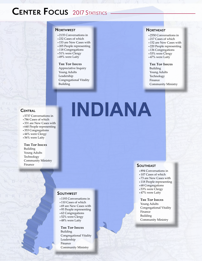## **CENTER FOCUS** 2017 STATISTICS

#### **Northwest**

- • 2135 Conversations in
- • 232 Cases of which
- 153 are New Cases with
- 205 People representing
- 118 Congregations
- 51% were Clergy
- 49% were Laity

#### **The Top Issues**

Appreciative Inquiry Young Adults Leadership Congregational Vitality Building

#### **Northeast**

- • 2550 Conversations in
- 217 Cases of which
- 152 are New Cases with
- 220 People representing
- • 136 Congregations
- 53% were Clergy
- 47% were Laity

#### **The Top Issues**

Building Young Adults Technology Finance Community Ministry

#### **Central**

- • 5737 Conversations in
- 786 Cases of which
- • 331 are New Cases with
- • 640 People representing
- • 353 Congregations
- 44% were Clergy
- 56% were Laity

#### **The Top Issues**

Building Young Adults Technology Community Ministry Finance

## **INDIANA**

#### **Southwest**

- 1193 Conversations in
- 110 Cases of which
- • 69 are New Cases with
- 95 People representing
- • 62 Congregations
- 52% were Clergy
- 48% were Laity

#### **The Top Issues** Building

Congregational Vitality Leadership Finance Community Ministry

#### **SOUTHEAST**

- • 894 Conversations in
- 107 Cases of which
- • 73 are New Cases with
- 118 People representing
- 68 Congregations
- 53% were Clergy
- 47% were Laity

#### **The Top Issues**

Young Adults Congregational Vitality Finance Building Community Ministry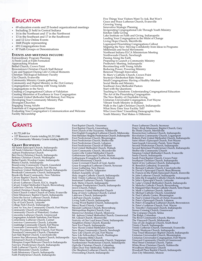### **Education**

- 69 education events and 25 hosted organizational meetings
- Including 21 held in Central Indiana
- 14 in the Northeast and 17 in the Northwest
- 13 in the Southeast and 17 in the Southwest
- and 12 Live Online Events
- 1668 People representing
- 691 Congregations from
- 87 Faith Groups or Denominations

#### **Events and meetings include:**

Extraordinary Program Planning A Fresh Look at Faith Formation Approaching Wisdom Bethel Church, Crown Point Brownstown Christian Church Staff Retreat Care and Support During Life's Critical Moments Christian Theological Seminary Faculty City Church, Evansville Community Ministry Grants gathering Community and Digital Ministry in the 21st Century Congregations Connecting with Young Adults Congregations in the News Creating a Congregational Culture of Validation Creating Ministries of Excellence in Your Congregation Covenant United Methodist Staff Retreat, Fort Wayne Developing Your Community Ministry Plan Divergent Churches Engaging Young Adults Essentials of Congregational Finance Evaluating Your Congregation's Communication and Welcome Facility Stewardship

#### **Grants**

- \$1,721,649 for
- 127 Resource Grants totaling \$1,211,946
- 23 Community Ministry Grants totaling \$489,039

#### **Grant Recipients**

All Saints Episcopal Church, Indianapolis All Souls Unitarian Church, Indianapolis Auburn Presbyterian Church Ben Davis Christian Church, Indianapolis Bethany Christian Church, Washington Bethel Family Worship Center, Indianapolis Bitania Church, Indianapolis Brandywine Community Church, Greenfield Broadway Christian Church, Fort Wayne Broadway United Methodist Church, Indianapolis Brookside Community Church, Indianapolis Brookville Road Community, New Palestine Calvary Baptist Church, Seymour Calvary Church, Valparaiso Calvary Lutheran Church, ELCA, Angola Calvary United Methodist Church, Brownsburg Castleview Church, Indianapolis Central Christian Church, Indianapolis Christ Church United Church of Christ, Evansville Christ Missionary Baptist Church, Indianapolis Christ the Savior Lutheran Church, Fishers Church of the Master, Indianapolis City of God Church, Lafayette College Park Church, Indianapolis Come As You Are Community Church, Fort Wayne Community Church of Columbus Community Church of Waterford, Goshen Concordia Lutheran Church, Greenwood Congregation Achduth Vesholom, Fort Wayne Cornerstone Lutheran Church, Carmel Crestview Community Church, Lafayette Crossbridge Community Church, Fort Wayne Crossroads Community Church, Fishers Divine Providence Baptist Church, Fort Wayne Duneland Community Church, Chesterton East Side Baptist Church, Crawfordsville Eastern Star Missionary Baptist Church, Indianapolis Emmanuel Church of Greenwood Ethiopian Gospel Believers Church in Indianapolis Fairview Presbyterian Church, Indianapolis Faith Lutheran Church, Columbus Faith Mennonite Church, Goshen Faith Missionary Church, Indianapolis Faith Presbyterian Church, Indianapolis

First Baptist Church, Vincennes First Baptist Church, Greensburg First Church of the Nazarene, Noblesville First English Evangelical Lutheran Church, Mishawaka First Meridian Heights Presbyterian Church, Indianapolis First Presbyterian Church, Bloomington First Presbyterian Church, Shelbyville First Presbyterian Church, Lebanon First Presbyterian Church of Elkhart First United Methodist Church, Wabash Geist Community Church, Mccordsville Gentryville United Methodist Church Gethsemane Episcopal Church, Marion Gethsemane Evangelical Lutheran, Indianapolis Grabill Missionary Church<br>Grace Covenant Church of God, Austin<br>Grace Evangelical Lutheran Church, Syracuse<br>Grace Gathering, New Haven<br>GracePoint Church, Valparaiso<br>Hobart Assembly of God<br>Holy Angels Catholic Church, Indian Immanuel Lutheran Church, Valparaiso Indy Metro Church, Indianapolis Irvington Presbyterian Church, Indianapolis itown Church, Fishers Jamestown United Methodist Church King of Glory Lutheran Church, Carmel Lakeview Church, Indianapolis LifePoint Church, Goshen Living Faith Church, Indianapolis Living Word Baptist Church, Indianapolis Mercy Road Church, Carmel Messiah Lutheran Church, Brownsburg Metropolitan Baptist Church, Gary Monrovia Christian Church, Monrovia<br>Mt. Auburn United Methodist Church, Greenwood Mt. Gilead Church, Mooresville Nativity of Our Lord Jesus Christ, Indianapolis Neighbors Home Church, Roanoke New Era Church, Indianapolis New Haven United Methodist Church New Hope Community Church, Newburgh New Life Church of God, Fort Wayne New Life Fellowship Church, Huntington New Palestine Bible Church North Main Street Mennonite Church, Nappanee Northminster Presbyterian Church, Indianapolis Ogilville Christian Church, Columbus Open Door Free Methodist, Noblesville Our Shepherd Lutheran Church, Avon Overcoming Church, Indianapolis

Five Things Your Visitors Want To Ask, But Won't Grace and Peace Lutheran Church, Evansville Growing Young Innovative Strategic Planning Invigorating Congregational Life Through Youth Ministry Kitchen Table Giving Lake Institute on Faith and Giving, Indianapolis Leading Your Congregation in the Midst of Change Living Hope Church, Merrillville Logansport Flourishing Congregations Callout Mapping the New: Moving Confidently from Ideas to Programs Millennials and Social Movements Northeast Indiana ELCA Ministerium Meeting Northwoods Church, Newburgh Passing Along the Faith Preparing to Launch a Community Ministry Presbytery Meeting, Indianapolis Reconnecting with Young Adults Reducing Power, Powering Ministry Renewal Through Innovation St. Mary's Catholic Church, Crown Point Seymour Oktoberfest Baby Station Small Congregations: Having a Healthy Mindset Social Media and Ministry Southeast Area Methodist Pastors Start with the Questions Teaching to Transform: Understanding Congregational Education The Art of the Flourishing Congregation The New Reality of Charitable Giving Unitarian Universalist Congregation, Fort Wayne Vibrant Youth Ministry in Indiana Walk in the Light Christian Church, Indianapolis What Story Does Your Facility Tell? Who Lives Here? Unearthing Demographic Data Youth Ministry That Makes A Difference 

> Peace Lutheran Church, Seymour Peter's Rock Missionary Baptist Church, Gary Re.Think Church, Merrillville Resurrection Lutheran Church, Indianapolis Revolution Community Church, Logansport Roberts Park United Methodist Church, Indianapolis Saint Alban's Episcopal Church, Fort Wayne Saint Joseph University Parish, Terre Haute Second Presbyterian Church, Indianapolis Second Reformed Presbyterian Church, Indianapolis Shelbyville Community Church Simpson United Methodist Church, Evansville Soma Church, Indianapolis South Point Baptist Church, Crown Point Southport Christian Church, Indianapolis Spirit of Joy Lutheran Church, Indianapolis St. Benedict Cathedral, Evansville St. Bernard Catholic Church, Crawfordsville St. David's Episcopal Church, Bean Blossom<br>St. Francis-in-the-Fields Episcopal Church, Zionsville<br>St. John Lutheran Church, Indianapolis<br>St. John the Evangelist Catholic Church, Indianapolis<br>St. John's Episcopal Church, La St. Michael Catholic Church, Greenfield St. Paul Catholic Center, Bloomington St. Paul's United Church of Christ, Evansville St. Peter's Episcopal Church, Lebanon St. Peter's Evangelical Lutheran Church, Brownstown St. Peter's Lutheran Church, Fort Wayne St. Timothy's Episcopal Church, Indianapolis Stones Crossing Church, Greenwood The Compass Church, Selma The Ridge, Columbus The River Community Church, Marion The Vineyard Church, Mishawaka Tree of Life Anglican Church, South Bend Trinity Church, Indianapolis Trinity Lutheran Church, Darmstadt, Evansville Trinity Wesleyan Church, Indianapolis<br>True Tried Missionary Baptist Church, Indianapolis<br>Unitarian Universalist Church, Bloomington<br>Unitarian Universalist Congregation, Fort Wayne<br>Vineyard Community Church of Greenwood<br>Wes Woodburn Missionary Church Woodruff Place Baptist Church, Indianapolis Zion City Ministries, Muncie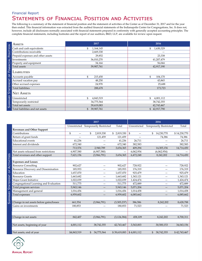#### STATEMENTS OF FINANCIAL POSITION AND ACTIVITIES Financial Report

The following is a summary of the statement of financial position and the statement of activities of the Center as of December 31, 2017 and for the year then ended. This financial information was extracted from the audited financial statements of the Indianapolis Center for Congregations, Inc. It does not, however, include all disclosures normally associated with financial statements prepared in conformity with generally accepted accounting principles. The complete financial statements, including footnotes and the report of our auditors, BKD, LLP, are available for review upon request.

| <b>ASSETS</b>                     | 2017                         | 2016            |
|-----------------------------------|------------------------------|-----------------|
| Cash and cash equivalents         | 1,164,145<br>\$              | 1,630,329<br>\$ |
| Contributions receivable          | 2,669,330                    |                 |
| Prepaid expenses and other assets | 29,852                       | 23,338          |
| Investments                       | 36,010,270                   | 41,207,479      |
| Property and equipment            | 34,164                       | 56,044          |
| Total assets                      | 39,907,761                   | 42,917,190      |
| <b>LIABILITIES</b>                |                              |                 |
| Accounts payable                  | \$<br>215,450                | \$<br>104,170   |
| Accrued vacation pay              | 48,250                       | 43,865          |
| Other accrued expenses            | 24,978                       | 25,688          |
| Total liabilities                 | 288,678                      | 173,723         |
| <b>NET ASSETS</b>                 |                              |                 |
| Unrestricted                      | \$<br>4,843,519              | \$<br>4,001,112 |
| Temporarily restricted            | 34,775,564                   | 38,742,355      |
| Total net assets                  | 39,619,083                   | 42,743,467      |
| Total liabilities and net assets  | $\mathbb{S}^-$<br>39,907,761 | \$42,917,790    |

|                                          |                                | 2017                                |               | 2016        |                                     |              |
|------------------------------------------|--------------------------------|-------------------------------------|---------------|-------------|-------------------------------------|--------------|
|                                          |                                | Unrestricted Temporarily Restricted | Total         |             | Unrestricted Temporarily Restricted | Total        |
| <b>Revenues and Other Support</b>        |                                |                                     |               |             |                                     |              |
| Contributions                            | \$<br>$\overline{\phantom{0}}$ | \$<br>2,819,330                     | \$2,819,330   | \$          | \$<br>14,230,770                    | \$14,230,770 |
| Return of grant funds                    |                                | 121,459                             | 121,459       |             | 74,386                              | 74,386       |
| <b>Educational</b> events                | 41,236                         |                                     | 41,236        | 26,711      |                                     | 26,711       |
| Interest and dividends                   | 672,340                        |                                     | 672,340       | 382,583     |                                     | 382,583      |
|                                          | 713,576                        | 2,940,789                           | 3,654,365     | 409,294     | 14,305,156                          | 14,714,450   |
| Net assets released from restrictions    | 6,907,580                      | (6,907,580)                         |               | 6,062,954   | (6,062,954)                         |              |
| Total revenues and other support         | 7,621,156                      | (3,966,791)                         | 3,654,365     | 6,472,248   | 8,242,202                           | 14,714,450   |
|                                          |                                |                                     |               |             |                                     |              |
| <b>Expenses and Losses</b>               |                                |                                     |               |             |                                     |              |
| <b>Resource Consulting</b>               | 902,627                        | —                                   | 902,627       | 728,922     | —                                   | 728,922      |
| Resource Discovery and Dissemination     | 185,953                        | $\overline{\phantom{0}}$            | 185,953       | 176,319     | $\overline{\phantom{0}}$            | 176,319      |
| Education                                | 1,657,070                      | —                                   | 1,657,070     | 925,479     | —                                   | 925,479      |
| <b>Resource Grants</b>                   | 1,663,682                      | $\overline{\phantom{0}}$            | 1,663,682     | 1,343,121   | —                                   | 1,343,121    |
| Major Grant Initiative                   | 1,022,039                      | —                                   | 1,022,039     | 1,424,474   | —                                   | 1,424,474    |
| Congregational Learning and Evaluation   | 511,775                        | $\overline{\phantom{0}}$            | 511,775       | 472,889     | —                                   | 472,889      |
| Total program services                   | 5,943,146                      | —                                   | 5,943,146     | 5,071,204   | —                                   | 5,071,204    |
| Management and general                   | 1,016,456                      | —                                   | 1,016,456     | 1,014,458   | —                                   | 1,014,458    |
| Total expenses                           | 6,959,602                      |                                     | 6,959,602     | 6,085,662   |                                     | 6,085,662    |
|                                          |                                |                                     |               |             |                                     |              |
| Change in net assets before gains/losses | 661,554                        | (3,966,791)                         | (3,305,237)   | 386,586     | 8,242,202                           | 8,628,788    |
| Gains on investments                     | 180,853                        | —                                   | 180,853       | 71,523      | —                                   | 71,523       |
|                                          |                                |                                     |               |             |                                     |              |
|                                          |                                |                                     |               |             |                                     |              |
| Change in net assets                     | 842,407                        | (3,966,791)                         | (3, 124, 384) | 458,109     | 8,242,202                           | 8,700,311    |
|                                          |                                |                                     |               |             |                                     |              |
| Net assets, beginning of year            | 4,001,112                      | 38,742,355                          | 42,743,467    | 3,543,003   | 30,500,153                          | 34,043,156   |
|                                          |                                |                                     |               |             |                                     |              |
| Net assets, end of year                  | \$4,843,519                    | \$ 34,775,564                       | \$39,619,083  | \$4,001,112 | \$<br>38,742,355                    | \$42,743,467 |



Summary Statement of Activities

SUMMARY STATEMENT OF ACTIVITIES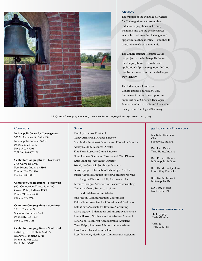

#### **Mission**

The mission of the Indianapolis Center for Congregations is to strengthen Indiana congregations by helping them find and use the best resources available to address the challenges and opportunities they identify — and then to share what we learn nationwide.

The Congregational Resource Guide is a project of the Indianapolis Center for Congregations. This web-based application helps congregations find and use the best resources for the challenges they identify.

The Indianapolis Center for Congregations is funded by Lilly Endowment Inc. and is a supporting organization of Christian Theological Seminary in Indianapolis and Louisville Presbyterian Theological Seminary.

info@centerforcongregations.org www.centerforcongregations.org www.thecrg.org

#### CONTACTS

**Indianapolis Center for Congregations** 303 N. Alabama St., Suite 100 Indianapolis, Indiana 46204 Phone 317-237-7799 Fax 317-237-7795 Toll free 866-307-2381

**Center for Congregations – Northeast** 7906 Carnegie Blvd. Fort Wayne, Indiana 46804 Phone 260-435-1880 Fax 260-435-1883

**Center for Congregations – Northwest** 9801 Connecticut Drive, Suite 200 Crown Point, Indiana 46307 Phone 219-472-4938 Fax 219-472-4941

**Center for Congregations – Southeast** 100 S. Chestnut St. Seymour, Indiana 47274 Phone 812-405-1137 Fax 812-405-1138

**Center for Congregations – Southwest** 7516 Eagle Crest Blvd., Suite A Evansville, Indiana 47715 Phone 812-618-2012 Fax 812-618-2013

#### STAFF

Timothy Shapiro, President Nancy Armstrong, Finance Director Matt Burke, Northeast Director and Education Director Nancy DeMott, Resource Director Kara Faris, Resource Grants Director Doug Hanner, Southeast Director and CRG Director Katie Lindberg, Northwest Director Wendy McCormick, Southwest Director Aaron Spiegel, Information Technology Director Susan Weber, Evaluation Project Coordinator for the Religion Division of Lilly Endowment Inc. Terrance Bridges, Associate for Resource Consulting Catharine Green, Resource Assistant and Database Administrator Jane Mastin, Communications Coordinator Kelly Minas, Associate for Education and Evaluation Kate White, Associate for Resource Consulting Alisha Agnew, Indianapolis Administrative Assistant Eunita Booker, Northeast Administrative Assistant Sofia Cook, Southwest Administrative Assistant Carol Delph, Southeast Administrative Assistant Jerri Kinder, Executive Assistant Rose Villarruel, Northwest Administrative Assistant

#### **2017 Board of Directors**

Ms. Katie Patterson Chair Speedway, Indiana

Rev. Lant Davis Terre Haute, Indiana

Rev. Richard Hamm Indianapolis, Indiana

Rev. Dr. Michael Jenkins Louisvillle, Kentucky

Rev. Dr. Bill Kincaid Indianapolis, IN

Mr. Terry Morris Noblesville, IN

#### **Acknowledgements**

Photography Chris Minnick

Writing Holly G. Miller